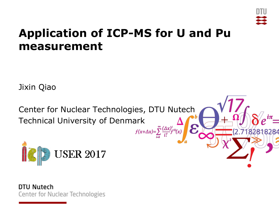

2.7182818284

# **Application of ICP-MS for U and Pu measurement**

Jixin Qiao

Center for Nuclear Technologies, DTU Nutech Technical University of Denmark<br> $f(x+\Delta x)=\sum_{i=0}^{\infty}\frac{(\Delta x)^i}{i!}f^{\omega}(x)$ 



DTU Nutech Center for Nuclear Technologies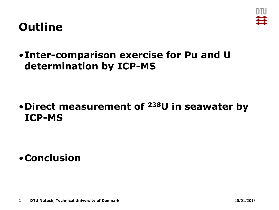# **Outline**



#### •**Inter-comparison exercise for Pu and U determination by ICP-MS**

#### •**Direct measurement of <sup>238</sup>U in seawater by ICP-MS**

#### •**Conclusion**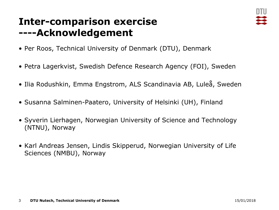## **Inter-comparison exercise ----Acknowledgement**



- Per Roos, Technical University of Denmark (DTU), Denmark
- Petra Lagerkvist, Swedish Defence Research Agency (FOI), Sweden
- Ilia Rodushkin, Emma Engstrom, ALS Scandinavia AB, Luleå, Sweden
- Susanna Salminen-Paatero, University of Helsinki (UH), Finland
- Syverin Lierhagen, Norwegian University of Science and Technology (NTNU), Norway
- Karl Andreas Jensen, Lindis Skipperud, Norwegian University of Life Sciences (NMBU), Norway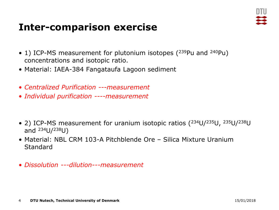

#### **Inter-comparison exercise**

- 1) ICP-MS measurement for plutonium isotopes  $(^{239}Pu$  and  $^{240}Pu)$ concentrations and isotopic ratio.
- Material: IAEA-384 Fangataufa Lagoon sediment
- *Centralized Purification ---measurement*
- *Individual purification ----measurement*
- 2) ICP-MS measurement for uranium isotopic ratios (234U/235U, 235U/238U and <sup>234</sup>U/<sup>238</sup>U)
- Material: NBL CRM 103-A Pitchblende Ore Silica Mixture Uranium Standard
- *Dissolution ---dilution---measurement*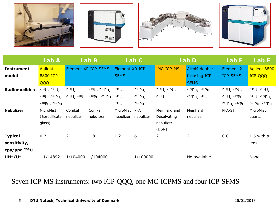







|                      | Lab A          | Lab B          |                                      | Lab C            |                     | Lab D            |                                       | Lab E           | Lab F         |
|----------------------|----------------|----------------|--------------------------------------|------------------|---------------------|------------------|---------------------------------------|-----------------|---------------|
| <b>Instrument</b>    | <b>Agilent</b> |                | Element XR ICP-SFMS                  | Element XR ICP-  |                     | <b>MC-ICP-MS</b> | AttoM double-                         | Element 2       | Agilent 8800  |
| model                | 8800 ICP-      |                |                                      | <b>SFMS</b>      |                     |                  | focusing ICP-                         | <b>ICP-SFMS</b> | ICP-QQQ       |
|                      | QQQ            |                |                                      |                  |                     |                  | <b>SFMS</b>                           |                 |               |
| <b>Radionuclides</b> | 234U, 235U,    | $234$ U        | <sup>238</sup> U, <sup>239</sup> Pu, | $234$ U          | $239$ Pu,           | 234U, 235U,      | <sup>239</sup> Pu, <sup>240</sup> Pu, | 234U, 235U,     | 234U, 235U,   |
|                      | 238U, 239Pu,   | 235U, 238U     | 240Pu, 242Pu                         | $235$ U,         | <sup>240</sup> Pu,  | 238U             | 242Pu, 238U                           | 238U, 239Pu,    | 238U, 239Pu,  |
|                      | 240Pu, 242Pu   |                |                                      | 238 <sub>U</sub> | 242Pu               |                  |                                       | 240Pu, 242Pu    | 240Pu, 242Pu  |
| <b>Nebulizer</b>     | MicroMist      | Conikal        | Conikal                              | MicroMist PFA    |                     | Meinhard and     | Meinhard                              | PFA-ST          | MicroMist     |
|                      | (Borosilicate  | nebulizer      | nebulizer                            |                  | nebulizer nebulizer | Desolvating      | nebulizer                             |                 | quartz        |
|                      | glass)         |                |                                      |                  |                     | nebulizer        |                                       |                 |               |
|                      |                |                |                                      |                  |                     | (DSN)            |                                       |                 |               |
| <b>Typical</b>       | 0.7            | $\overline{2}$ | 1.8                                  | 1.2              | 6                   | 2                | 2                                     | 0.8             | $1.5$ with s- |
| sensitivity,         |                |                |                                      |                  |                     |                  |                                       |                 | lens          |
| cps/ppq 238U         |                |                |                                      |                  |                     |                  |                                       |                 |               |
| $UH^+/U^+$           | 1/14892        | 1/104000       | 1/104000                             |                  | 1/100000            |                  | No available                          |                 | None          |

#### Seven ICP-MS instruments: two ICP-QQQ, one MC-ICPMS and four ICP-SFMS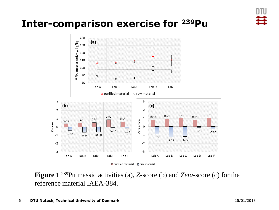

## **Inter-comparison exercise for 239Pu**



**Figure 1** <sup>239</sup>Pu massic activities (a), *Z*-score (b) and *Zeta*-score (c) for the reference material IAEA-384.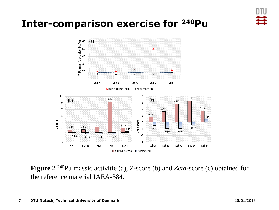

## **Inter-comparison exercise for 240Pu**



**Figure 2**<sup>240</sup>Pu massic activitie (a), *Z*-score (b) and *Zeta*-score (c) obtained for the reference material IAEA-384.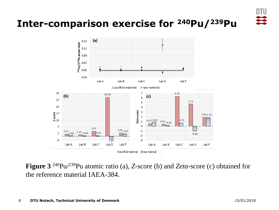

## **Inter-comparison exercise for 240Pu/239Pu**



**Figure 3** <sup>240</sup>Pu/<sup>239</sup>Pu atomic ratio (a), *Z*-score (b) and *Zeta*-score (c) obtained for the reference material IAEA-384.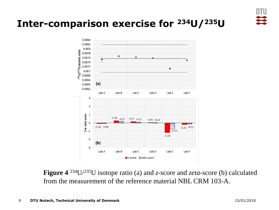

### **Inter-comparison exercise for 234U/235U**



**Figure 4** <sup>234</sup>U/<sup>235</sup>U isotope ratio (a) and *z*-score and *zeta*-score (b) calculated from the measurement of the reference material NBL CRM 103-A.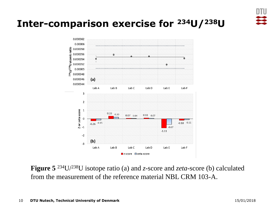

#### **Inter-comparison exercise for 234U/238U**



**Figure 5** <sup>234</sup>U/<sup>238</sup>U isotope ratio (a) and *z*-score and *zeta*-score (b) calculated from the measurement of the reference material NBL CRM 103-A.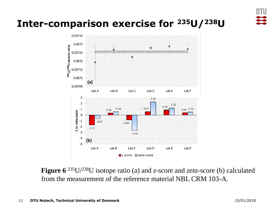

## **Inter-comparison exercise for 235U/238U**



**Figure 6** <sup>235</sup>U/<sup>238</sup>U isotope ratio (a) and *z*-score and *zeta*-score (b) calculated from the measurement of the reference material NBL CRM 103-A.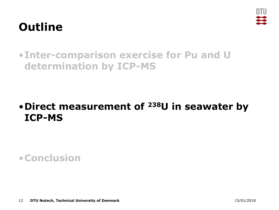# **Outline**



•**Inter-comparison exercise for Pu and U determination by ICP-MS**

#### •**Direct measurement of <sup>238</sup>U in seawater by ICP-MS**

•**Conclusion**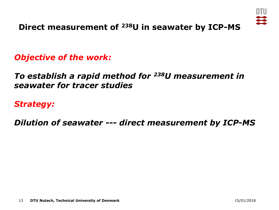

**Direct measurement of <sup>238</sup>U in seawater by ICP-MS**

*Objective of the work:*

#### *To establish a rapid method for <sup>238</sup>U measurement in seawater for tracer studies*

*Strategy:*

*Dilution of seawater --- direct measurement by ICP-MS*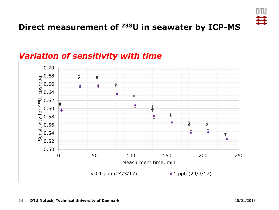

#### **Direct measurement of <sup>238</sup>U in seawater by ICP-MS**



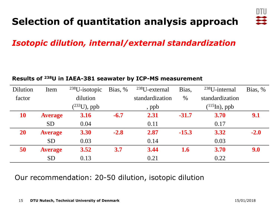# **Selection of quantitation analysis approach**



#### *Isotopic dilution, internal/external standardization*

| Dilution  | Item           | $238U$ -isotopic  | Bias, % | $238$ U-external | Bias,   | $238$ U-internal   | Bias, % |
|-----------|----------------|-------------------|---------|------------------|---------|--------------------|---------|
| factor    |                | dilution          |         | standardization  | $\%$    | standardization    |         |
|           |                | $(^{233}U)$ , ppb |         | $,$ ppb          |         | $(^{115}In)$ , ppb |         |
| <b>10</b> | <b>Average</b> | 3.16              | $-6.7$  | 2.31             | $-31.7$ | <b>3.70</b>        | 9.1     |
|           | <b>SD</b>      | 0.04              |         | 0.11             |         | 0.17               |         |
| <b>20</b> | <b>Average</b> | <b>3.30</b>       | $-2.8$  | 2.87             | $-15.3$ | 3.32               | $-2.0$  |
|           | <b>SD</b>      | 0.03              |         | 0.14             |         | 0.03               |         |
| 50        | <b>Average</b> | 3.52              | 3.7     | 3.44             | 1.6     | <b>3.70</b>        | 9.0     |
|           | <b>SD</b>      | 0.13              |         | 0.21             |         | 0.22               |         |

#### **Results of <sup>238</sup>U in IAEA-381 seawater by ICP-MS measurement**

Our recommendation: 20-50 dilution, isotopic dilution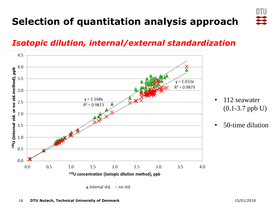# **Selection of quantitation analysis approach**



#### *Isotopic dilution, internal/external standardization*

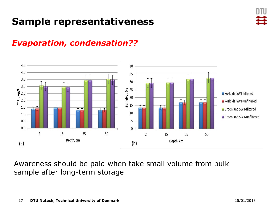#### **Sample representativeness**



#### *Evaporation, condensation??*



Awareness should be paid when take small volume from bulk sample after long-term storage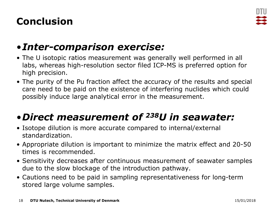## **Conclusion**



## •*Inter-comparison exercise:*

- The U isotopic ratios measurement was generally well performed in all labs, whereas high-resolution sector filed ICP-MS is preferred option for high precision.
- The purity of the Pu fraction affect the accuracy of the results and special care need to be paid on the existence of interfering nuclides which could possibly induce large analytical error in the measurement.

## •*Direct measurement of <sup>238</sup>U in seawater:*

- Isotope dilution is more accurate compared to internal/external standardization.
- Appropriate dilution is important to minimize the matrix effect and 20-50 times is recommended.
- Sensitivity decreases after continuous measurement of seawater samples due to the slow blockage of the introduction pathway.
- Cautions need to be paid in sampling representativeness for long-term stored large volume samples.